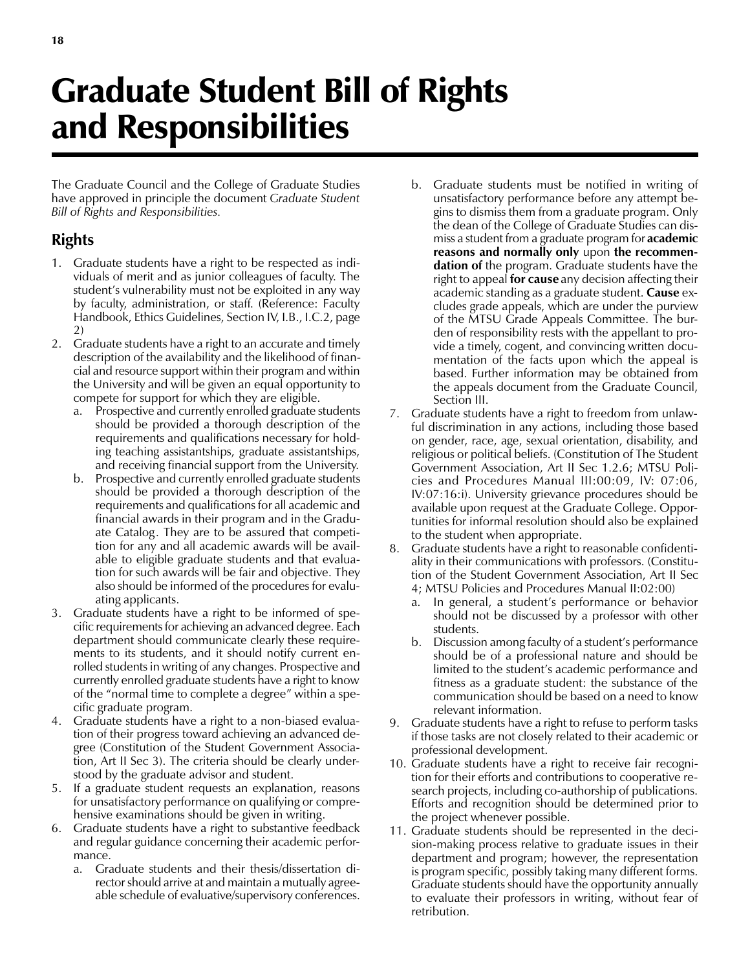## Graduate Student Bill of Rights

## and Responsibilities

The Graduate Council and the College of Graduate Studies have approved in principle the document Graduate Student Bill of Rights and Responsibilities.

## Rights

- 1. Graduate students have a right to be respected as individuals of merit and as junior colleagues of faculty. The student's vulnerability must not be exploited in any way by faculty, administration, or staff. (Reference: Faculty Handbook, Ethics Guidelines, Section IV, I.B., I.C.2, page 2)
- 2. Graduate students have a right to an accurate and timely description of the availability and the likelihood of financial and resource support within their program and within the University and will be given an equal opportunity to compete for support for which they are eligible.
	- a. Prospective and currently enrolled graduate students should be provided a thorough description of the requirements and qualifications necessary for holding teaching assistantships, graduate assistantships, and receiving financial support from the University.
	- b. Prospective and currently enrolled graduate students should be provided a thorough description of the requirements and qualifications for all academic and financial awards in their program and in the Graduate Catalog. They are to be assured that competition for any and all academic awards will be available to eligible graduate students and that evaluation for such awards will be fair and objective. They also should be informed of the procedures for evaluating applicants.
- 3. Graduate students have a right to be informed of specific requirements for achieving an advanced degree. Each department should communicate clearly these requirements to its students, and it should notify current enrolled students in writing of any changes. Prospective and currently enrolled graduate students have a right to know of the "normal time to complete a degree" within a specific graduate program.
- 4. Graduate students have a right to a non-biased evaluation of their progress toward achieving an advanced degree (Constitution of the Student Government Association, Art II Sec 3). The criteria should be clearly understood by the graduate advisor and student.
- 5. If a graduate student requests an explanation, reasons for unsatisfactory performance on qualifying or comprehensive examinations should be given in writing.
- 6. Graduate students have a right to substantive feedback and regular guidance concerning their academic performance.
	- a. Graduate students and their thesis/dissertation director should arrive at and maintain a mutually agreeable schedule of evaluative/supervisory conferences.
- b. Graduate students must be notified in writing of unsatisfactory performance before any attempt begins to dismiss them from a graduate program. Only the dean of the College of Graduate Studies can dismiss a student from a graduate program for **academic** reasons and normally only upon the recommendation of the program. Graduate students have the right to appeal **for cause** any decision affecting their academic standing as a graduate student. **Cause** excludes grade appeals, which are under the purview of the MTSU Grade Appeals Committee. The burden of responsibility rests with the appellant to provide a timely, cogent, and convincing written documentation of the facts upon which the appeal is based. Further information may be obtained from the appeals document from the Graduate Council, Section III.
- 7. Graduate students have a right to freedom from unlawful discrimination in any actions, including those based on gender, race, age, sexual orientation, disability, and religious or political beliefs. (Constitution of The Student Government Association, Art II Sec 1.2.6; MTSU Policies and Procedures Manual III:00:09, IV: 07:06, IV:07:16:i). University grievance procedures should be available upon request at the Graduate College. Opportunities for informal resolution should also be explained to the student when appropriate.
- 8. Graduate students have a right to reasonable confidentiality in their communications with professors. (Constitution of the Student Government Association, Art II Sec 4; MTSU Policies and Procedures Manual II:02:00)
	- In general, a student's performance or behavior should not be discussed by a professor with other students.
	- b. Discussion among faculty of a student's performance should be of a professional nature and should be limited to the student's academic performance and fitness as a graduate student: the substance of the communication should be based on a need to know relevant information.
- 9. Graduate students have a right to refuse to perform tasks if those tasks are not closely related to their academic or professional development.
- 10. Graduate students have a right to receive fair recognition for their efforts and contributions to cooperative research projects, including co-authorship of publications. Efforts and recognition should be determined prior to the project whenever possible.
- 11. Graduate students should be represented in the decision-making process relative to graduate issues in their department and program; however, the representation is program specific, possibly taking many different forms. Graduate students should have the opportunity annually to evaluate their professors in writing, without fear of retribution.